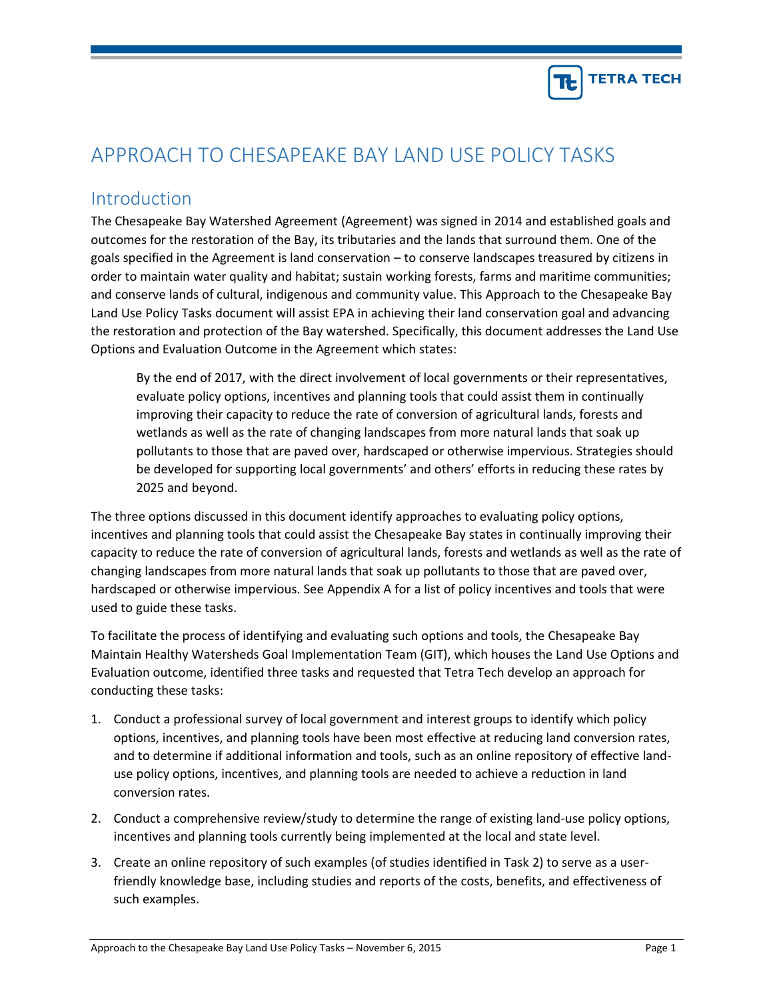

# APPROACH TO CHESAPEAKE BAY LAND USE POLICY TASKS

# Introduction

The Chesapeake Bay Watershed Agreement (Agreement) was signed in 2014 and established goals and outcomes for the restoration of the Bay, its tributaries and the lands that surround them. One of the goals specified in the Agreement is land conservation – to conserve landscapes treasured by citizens in order to maintain water quality and habitat; sustain working forests, farms and maritime communities; and conserve lands of cultural, indigenous and community value. This Approach to the Chesapeake Bay Land Use Policy Tasks document will assist EPA in achieving their land conservation goal and advancing the restoration and protection of the Bay watershed. Specifically, this document addresses the Land Use Options and Evaluation Outcome in the Agreement which states:

By the end of 2017, with the direct involvement of local governments or their representatives, evaluate policy options, incentives and planning tools that could assist them in continually improving their capacity to reduce the rate of conversion of agricultural lands, forests and wetlands as well as the rate of changing landscapes from more natural lands that soak up pollutants to those that are paved over, hardscaped or otherwise impervious. Strategies should be developed for supporting local governments' and others' efforts in reducing these rates by 2025 and beyond.

The three options discussed in this document identify approaches to evaluating policy options, incentives and planning tools that could assist the Chesapeake Bay states in continually improving their capacity to reduce the rate of conversion of agricultural lands, forests and wetlands as well as the rate of changing landscapes from more natural lands that soak up pollutants to those that are paved over, hardscaped or otherwise impervious. See Appendix A for a list of policy incentives and tools that were used to guide these tasks.

To facilitate the process of identifying and evaluating such options and tools, the Chesapeake Bay Maintain Healthy Watersheds Goal Implementation Team (GIT), which houses the Land Use Options and Evaluation outcome, identified three tasks and requested that Tetra Tech develop an approach for conducting these tasks:

- 1. Conduct a professional survey of local government and interest groups to identify which policy options, incentives, and planning tools have been most effective at reducing land conversion rates, and to determine if additional information and tools, such as an online repository of effective landuse policy options, incentives, and planning tools are needed to achieve a reduction in land conversion rates.
- 2. Conduct a comprehensive review/study to determine the range of existing land-use policy options, incentives and planning tools currently being implemented at the local and state level.
- 3. Create an online repository of such examples (of studies identified in Task 2) to serve as a userfriendly knowledge base, including studies and reports of the costs, benefits, and effectiveness of such examples.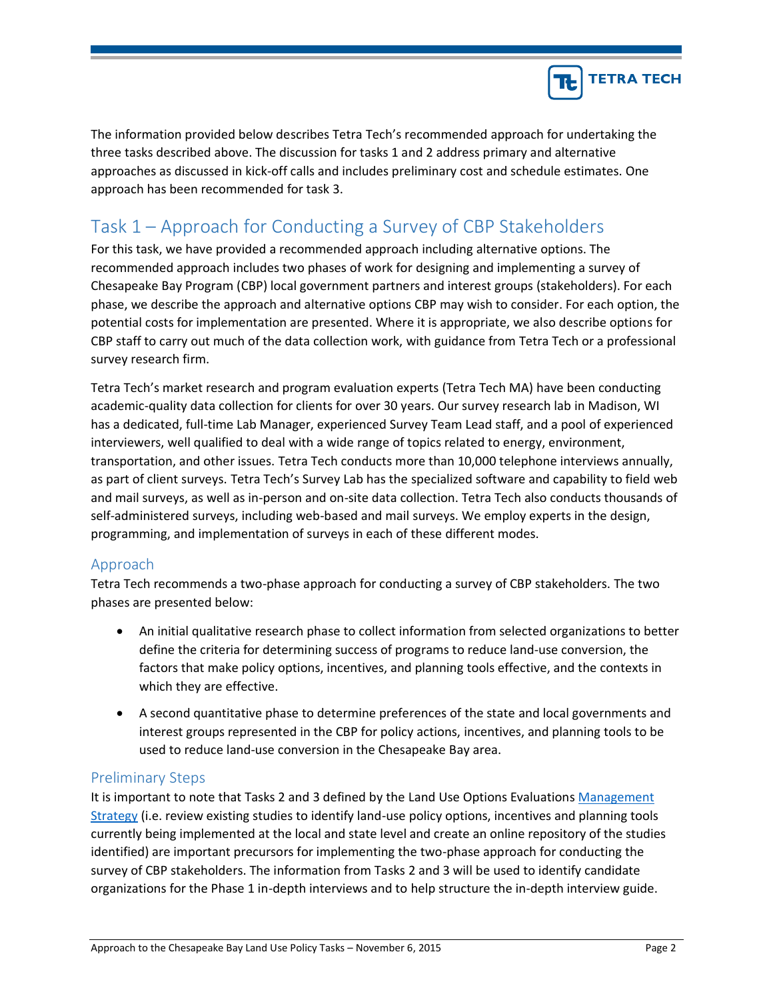

The information provided below describes Tetra Tech's recommended approach for undertaking the three tasks described above. The discussion for tasks 1 and 2 address primary and alternative approaches as discussed in kick-off calls and includes preliminary cost and schedule estimates. One approach has been recommended for task 3.

# Task 1 – Approach for Conducting a Survey of CBP Stakeholders

For this task, we have provided a recommended approach including alternative options. The recommended approach includes two phases of work for designing and implementing a survey of Chesapeake Bay Program (CBP) local government partners and interest groups (stakeholders). For each phase, we describe the approach and alternative options CBP may wish to consider. For each option, the potential costs for implementation are presented. Where it is appropriate, we also describe options for CBP staff to carry out much of the data collection work, with guidance from Tetra Tech or a professional survey research firm.

Tetra Tech's market research and program evaluation experts (Tetra Tech MA) have been conducting academic-quality data collection for clients for over 30 years. Our survey research lab in Madison, WI has a dedicated, full-time Lab Manager, experienced Survey Team Lead staff, and a pool of experienced interviewers, well qualified to deal with a wide range of topics related to energy, environment, transportation, and other issues. Tetra Tech conducts more than 10,000 telephone interviews annually, as part of client surveys. Tetra Tech's Survey Lab has the specialized software and capability to field web and mail surveys, as well as in-person and on-site data collection. Tetra Tech also conducts thousands of self-administered surveys, including web-based and mail surveys. We employ experts in the design, programming, and implementation of surveys in each of these different modes.

## Approach

Tetra Tech recommends a two-phase approach for conducting a survey of CBP stakeholders. The two phases are presented below:

- An initial qualitative research phase to collect information from selected organizations to better define the criteria for determining success of programs to reduce land-use conversion, the factors that make policy options, incentives, and planning tools effective, and the contexts in which they are effective.
- A second quantitative phase to determine preferences of the state and local governments and interest groups represented in the CBP for policy actions, incentives, and planning tools to be used to reduce land-use conversion in the Chesapeake Bay area.

### Preliminary Steps

It is important to note that Tasks 2 and 3 defined by the Land Use Options Evaluations Management [Strategy](http://www.chesapeakebay.net/documents/22067/4c_land_use_options_final.pdf) (i.e. review existing studies to identify land-use policy options, incentives and planning tools currently being implemented at the local and state level and create an online repository of the studies identified) are important precursors for implementing the two-phase approach for conducting the survey of CBP stakeholders. The information from Tasks 2 and 3 will be used to identify candidate organizations for the Phase 1 in-depth interviews and to help structure the in-depth interview guide.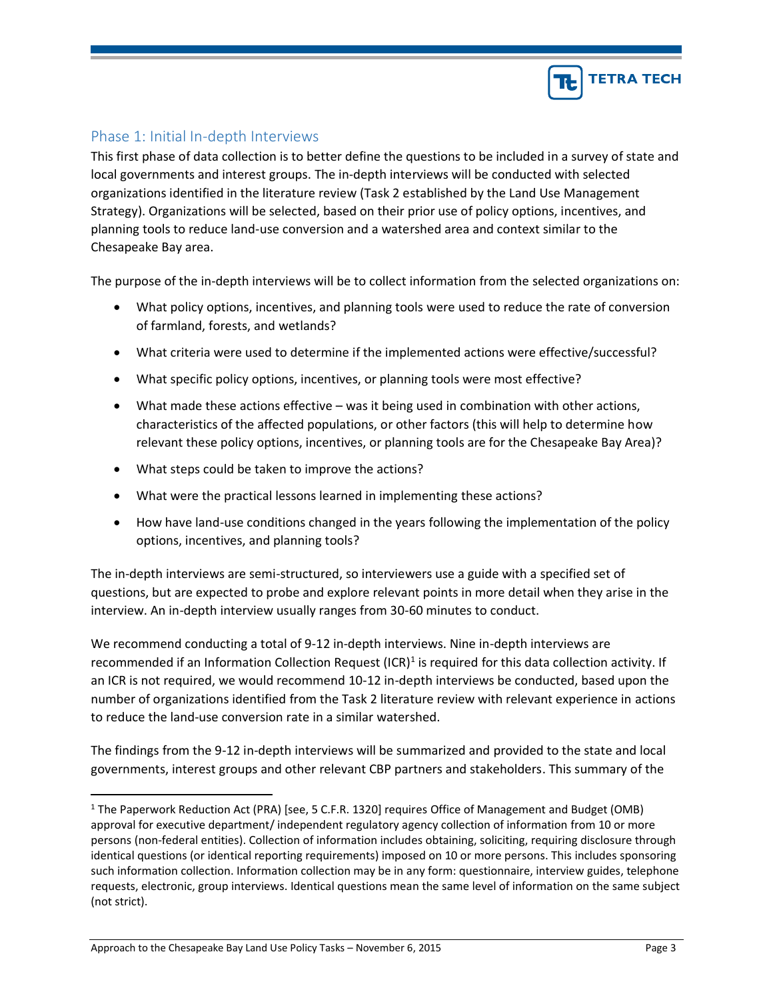

## Phase 1: Initial In-depth Interviews

This first phase of data collection is to better define the questions to be included in a survey of state and local governments and interest groups. The in-depth interviews will be conducted with selected organizations identified in the literature review (Task 2 established by the Land Use Management Strategy). Organizations will be selected, based on their prior use of policy options, incentives, and planning tools to reduce land-use conversion and a watershed area and context similar to the Chesapeake Bay area.

The purpose of the in-depth interviews will be to collect information from the selected organizations on:

- What policy options, incentives, and planning tools were used to reduce the rate of conversion of farmland, forests, and wetlands?
- What criteria were used to determine if the implemented actions were effective/successful?
- What specific policy options, incentives, or planning tools were most effective?
- What made these actions effective was it being used in combination with other actions, characteristics of the affected populations, or other factors (this will help to determine how relevant these policy options, incentives, or planning tools are for the Chesapeake Bay Area)?
- What steps could be taken to improve the actions?
- What were the practical lessons learned in implementing these actions?
- How have land-use conditions changed in the years following the implementation of the policy options, incentives, and planning tools?

The in-depth interviews are semi-structured, so interviewers use a guide with a specified set of questions, but are expected to probe and explore relevant points in more detail when they arise in the interview. An in-depth interview usually ranges from 30-60 minutes to conduct.

We recommend conducting a total of 9-12 in-depth interviews. Nine in-depth interviews are recommended if an Information Collection Request (ICR)<sup>1</sup> is required for this data collection activity. If an ICR is not required, we would recommend 10-12 in-depth interviews be conducted, based upon the number of organizations identified from the Task 2 literature review with relevant experience in actions to reduce the land-use conversion rate in a similar watershed.

The findings from the 9-12 in-depth interviews will be summarized and provided to the state and local governments, interest groups and other relevant CBP partners and stakeholders. This summary of the

 $\overline{a}$ 

<sup>&</sup>lt;sup>1</sup> The Paperwork Reduction Act (PRA) [see, 5 C.F.R. 1320] requires Office of Management and Budget (OMB) approval for executive department/ independent regulatory agency collection of information from 10 or more persons (non-federal entities). Collection of information includes obtaining, soliciting, requiring disclosure through identical questions (or identical reporting requirements) imposed on 10 or more persons. This includes sponsoring such information collection. Information collection may be in any form: questionnaire, interview guides, telephone requests, electronic, group interviews. Identical questions mean the same level of information on the same subject (not strict).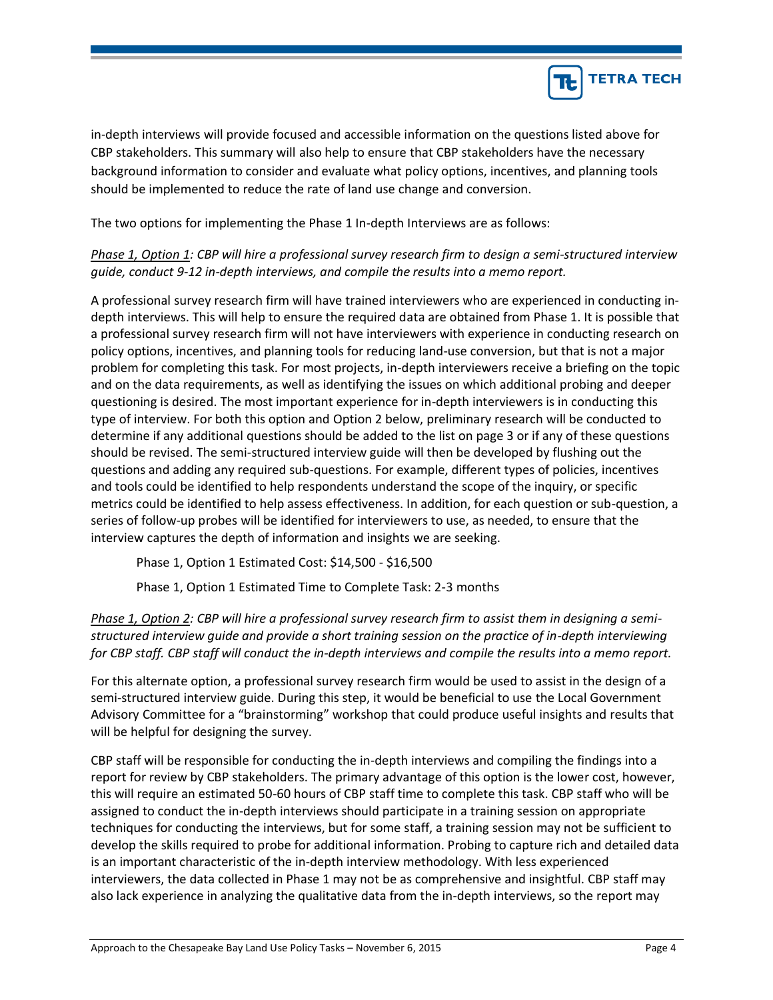

in-depth interviews will provide focused and accessible information on the questions listed above for CBP stakeholders. This summary will also help to ensure that CBP stakeholders have the necessary background information to consider and evaluate what policy options, incentives, and planning tools should be implemented to reduce the rate of land use change and conversion.

The two options for implementing the Phase 1 In-depth Interviews are as follows:

*Phase 1, Option 1: CBP will hire a professional survey research firm to design a semi-structured interview guide, conduct 9-12 in-depth interviews, and compile the results into a memo report.*

A professional survey research firm will have trained interviewers who are experienced in conducting indepth interviews. This will help to ensure the required data are obtained from Phase 1. It is possible that a professional survey research firm will not have interviewers with experience in conducting research on policy options, incentives, and planning tools for reducing land-use conversion, but that is not a major problem for completing this task. For most projects, in-depth interviewers receive a briefing on the topic and on the data requirements, as well as identifying the issues on which additional probing and deeper questioning is desired. The most important experience for in-depth interviewers is in conducting this type of interview. For both this option and Option 2 below, preliminary research will be conducted to determine if any additional questions should be added to the list on page 3 or if any of these questions should be revised. The semi-structured interview guide will then be developed by flushing out the questions and adding any required sub-questions. For example, different types of policies, incentives and tools could be identified to help respondents understand the scope of the inquiry, or specific metrics could be identified to help assess effectiveness. In addition, for each question or sub-question, a series of follow-up probes will be identified for interviewers to use, as needed, to ensure that the interview captures the depth of information and insights we are seeking.

Phase 1, Option 1 Estimated Cost: \$14,500 - \$16,500

Phase 1, Option 1 Estimated Time to Complete Task: 2-3 months

*Phase 1, Option 2: CBP will hire a professional survey research firm to assist them in designing a semistructured interview guide and provide a short training session on the practice of in-depth interviewing for CBP staff. CBP staff will conduct the in-depth interviews and compile the results into a memo report.*

For this alternate option, a professional survey research firm would be used to assist in the design of a semi-structured interview guide. During this step, it would be beneficial to use the Local Government Advisory Committee for a "brainstorming" workshop that could produce useful insights and results that will be helpful for designing the survey.

CBP staff will be responsible for conducting the in-depth interviews and compiling the findings into a report for review by CBP stakeholders. The primary advantage of this option is the lower cost, however, this will require an estimated 50-60 hours of CBP staff time to complete this task. CBP staff who will be assigned to conduct the in-depth interviews should participate in a training session on appropriate techniques for conducting the interviews, but for some staff, a training session may not be sufficient to develop the skills required to probe for additional information. Probing to capture rich and detailed data is an important characteristic of the in-depth interview methodology. With less experienced interviewers, the data collected in Phase 1 may not be as comprehensive and insightful. CBP staff may also lack experience in analyzing the qualitative data from the in-depth interviews, so the report may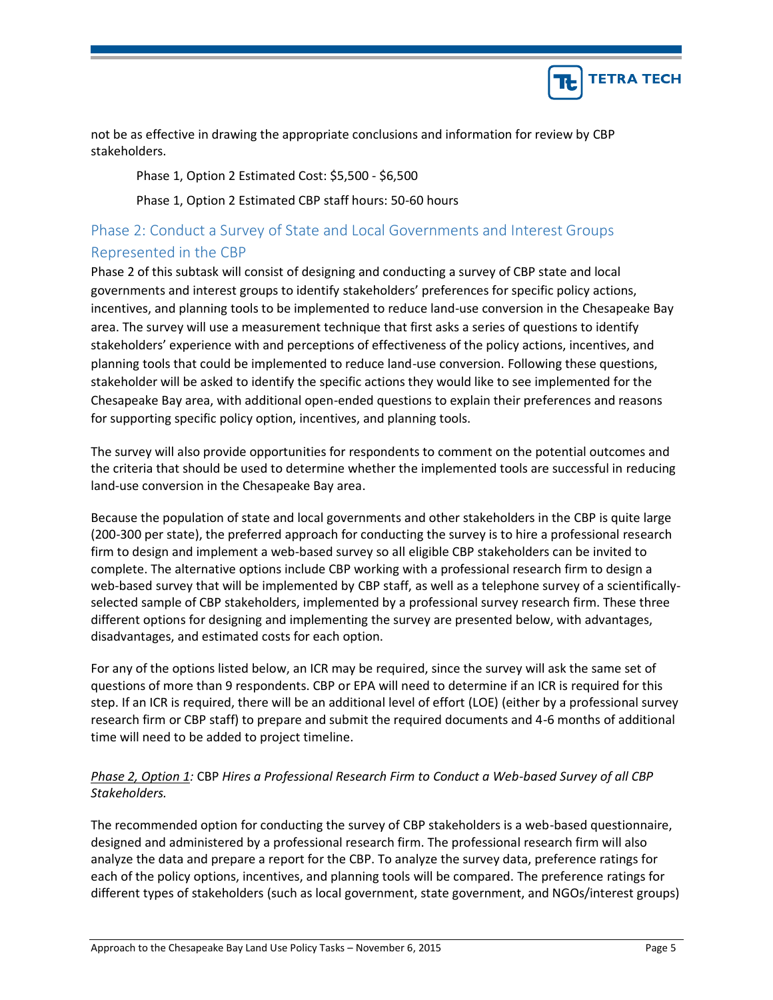

not be as effective in drawing the appropriate conclusions and information for review by CBP stakeholders.

Phase 1, Option 2 Estimated Cost: \$5,500 - \$6,500

Phase 1, Option 2 Estimated CBP staff hours: 50-60 hours

# Phase 2: Conduct a Survey of State and Local Governments and Interest Groups Represented in the CBP

Phase 2 of this subtask will consist of designing and conducting a survey of CBP state and local governments and interest groups to identify stakeholders' preferences for specific policy actions, incentives, and planning tools to be implemented to reduce land-use conversion in the Chesapeake Bay area. The survey will use a measurement technique that first asks a series of questions to identify stakeholders' experience with and perceptions of effectiveness of the policy actions, incentives, and planning tools that could be implemented to reduce land-use conversion. Following these questions, stakeholder will be asked to identify the specific actions they would like to see implemented for the Chesapeake Bay area, with additional open-ended questions to explain their preferences and reasons for supporting specific policy option, incentives, and planning tools.

The survey will also provide opportunities for respondents to comment on the potential outcomes and the criteria that should be used to determine whether the implemented tools are successful in reducing land-use conversion in the Chesapeake Bay area.

Because the population of state and local governments and other stakeholders in the CBP is quite large (200-300 per state), the preferred approach for conducting the survey is to hire a professional research firm to design and implement a web-based survey so all eligible CBP stakeholders can be invited to complete. The alternative options include CBP working with a professional research firm to design a web-based survey that will be implemented by CBP staff, as well as a telephone survey of a scientificallyselected sample of CBP stakeholders, implemented by a professional survey research firm. These three different options for designing and implementing the survey are presented below, with advantages, disadvantages, and estimated costs for each option.

For any of the options listed below, an ICR may be required, since the survey will ask the same set of questions of more than 9 respondents. CBP or EPA will need to determine if an ICR is required for this step. If an ICR is required, there will be an additional level of effort (LOE) (either by a professional survey research firm or CBP staff) to prepare and submit the required documents and 4-6 months of additional time will need to be added to project timeline.

## *Phase 2, Option 1:* CBP *Hires a Professional Research Firm to Conduct a Web-based Survey of all CBP Stakeholders.*

The recommended option for conducting the survey of CBP stakeholders is a web-based questionnaire, designed and administered by a professional research firm. The professional research firm will also analyze the data and prepare a report for the CBP. To analyze the survey data, preference ratings for each of the policy options, incentives, and planning tools will be compared. The preference ratings for different types of stakeholders (such as local government, state government, and NGOs/interest groups)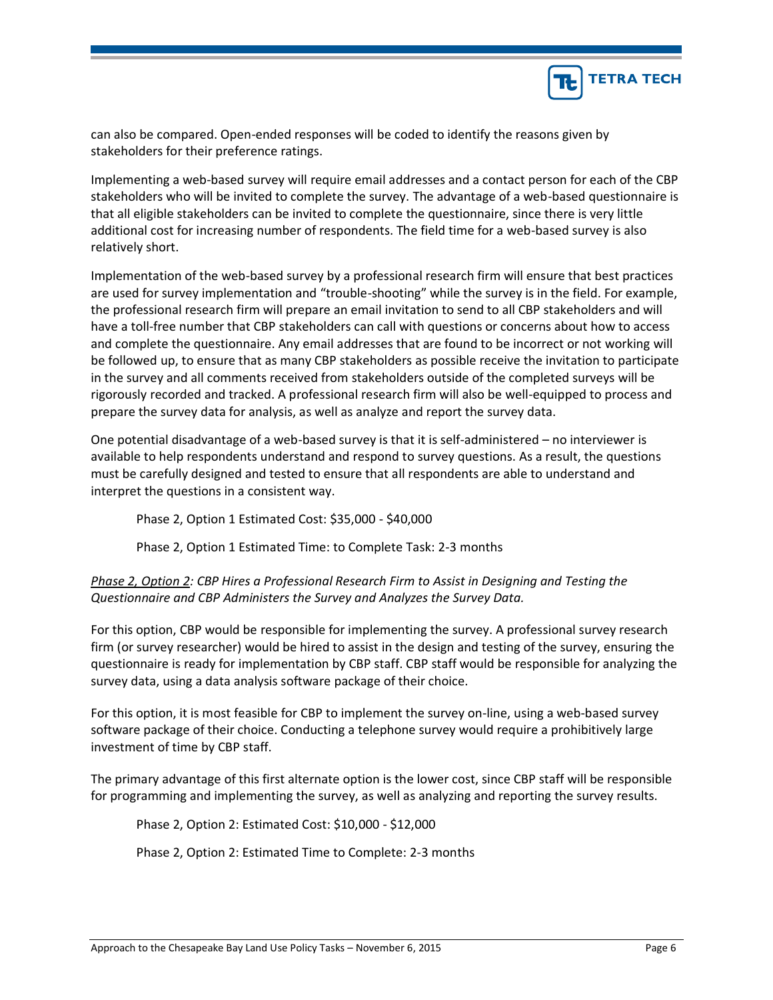

can also be compared. Open-ended responses will be coded to identify the reasons given by stakeholders for their preference ratings.

Implementing a web-based survey will require email addresses and a contact person for each of the CBP stakeholders who will be invited to complete the survey. The advantage of a web-based questionnaire is that all eligible stakeholders can be invited to complete the questionnaire, since there is very little additional cost for increasing number of respondents. The field time for a web-based survey is also relatively short.

Implementation of the web-based survey by a professional research firm will ensure that best practices are used for survey implementation and "trouble-shooting" while the survey is in the field. For example, the professional research firm will prepare an email invitation to send to all CBP stakeholders and will have a toll-free number that CBP stakeholders can call with questions or concerns about how to access and complete the questionnaire. Any email addresses that are found to be incorrect or not working will be followed up, to ensure that as many CBP stakeholders as possible receive the invitation to participate in the survey and all comments received from stakeholders outside of the completed surveys will be rigorously recorded and tracked. A professional research firm will also be well-equipped to process and prepare the survey data for analysis, as well as analyze and report the survey data.

One potential disadvantage of a web-based survey is that it is self-administered – no interviewer is available to help respondents understand and respond to survey questions. As a result, the questions must be carefully designed and tested to ensure that all respondents are able to understand and interpret the questions in a consistent way.

Phase 2, Option 1 Estimated Cost: \$35,000 - \$40,000

Phase 2, Option 1 Estimated Time: to Complete Task: 2-3 months

## *Phase 2, Option 2: CBP Hires a Professional Research Firm to Assist in Designing and Testing the Questionnaire and CBP Administers the Survey and Analyzes the Survey Data.*

For this option, CBP would be responsible for implementing the survey. A professional survey research firm (or survey researcher) would be hired to assist in the design and testing of the survey, ensuring the questionnaire is ready for implementation by CBP staff. CBP staff would be responsible for analyzing the survey data, using a data analysis software package of their choice.

For this option, it is most feasible for CBP to implement the survey on-line, using a web-based survey software package of their choice. Conducting a telephone survey would require a prohibitively large investment of time by CBP staff.

The primary advantage of this first alternate option is the lower cost, since CBP staff will be responsible for programming and implementing the survey, as well as analyzing and reporting the survey results.

Phase 2, Option 2: Estimated Cost: \$10,000 - \$12,000

Phase 2, Option 2: Estimated Time to Complete: 2-3 months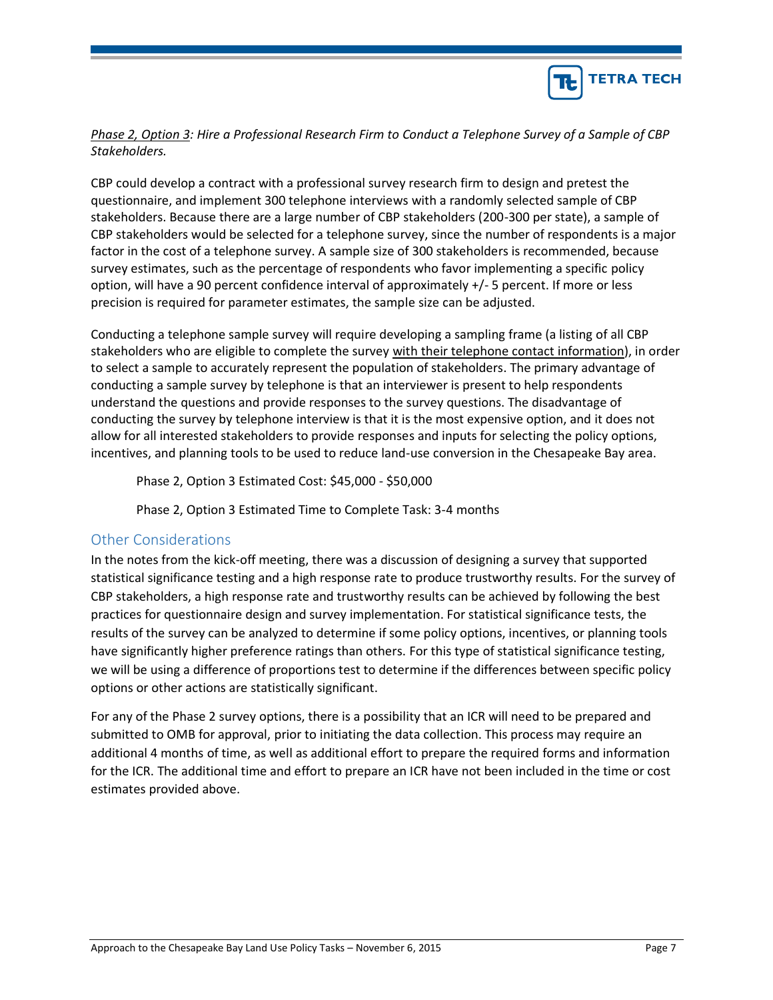

### *Phase 2, Option 3: Hire a Professional Research Firm to Conduct a Telephone Survey of a Sample of CBP Stakeholders.*

CBP could develop a contract with a professional survey research firm to design and pretest the questionnaire, and implement 300 telephone interviews with a randomly selected sample of CBP stakeholders. Because there are a large number of CBP stakeholders (200-300 per state), a sample of CBP stakeholders would be selected for a telephone survey, since the number of respondents is a major factor in the cost of a telephone survey. A sample size of 300 stakeholders is recommended, because survey estimates, such as the percentage of respondents who favor implementing a specific policy option, will have a 90 percent confidence interval of approximately +/- 5 percent. If more or less precision is required for parameter estimates, the sample size can be adjusted.

Conducting a telephone sample survey will require developing a sampling frame (a listing of all CBP stakeholders who are eligible to complete the survey with their telephone contact information), in order to select a sample to accurately represent the population of stakeholders. The primary advantage of conducting a sample survey by telephone is that an interviewer is present to help respondents understand the questions and provide responses to the survey questions. The disadvantage of conducting the survey by telephone interview is that it is the most expensive option, and it does not allow for all interested stakeholders to provide responses and inputs for selecting the policy options, incentives, and planning tools to be used to reduce land-use conversion in the Chesapeake Bay area.

Phase 2, Option 3 Estimated Cost: \$45,000 - \$50,000

Phase 2, Option 3 Estimated Time to Complete Task: 3-4 months

## Other Considerations

In the notes from the kick-off meeting, there was a discussion of designing a survey that supported statistical significance testing and a high response rate to produce trustworthy results. For the survey of CBP stakeholders, a high response rate and trustworthy results can be achieved by following the best practices for questionnaire design and survey implementation. For statistical significance tests, the results of the survey can be analyzed to determine if some policy options, incentives, or planning tools have significantly higher preference ratings than others. For this type of statistical significance testing, we will be using a difference of proportions test to determine if the differences between specific policy options or other actions are statistically significant.

For any of the Phase 2 survey options, there is a possibility that an ICR will need to be prepared and submitted to OMB for approval, prior to initiating the data collection. This process may require an additional 4 months of time, as well as additional effort to prepare the required forms and information for the ICR. The additional time and effort to prepare an ICR have not been included in the time or cost estimates provided above.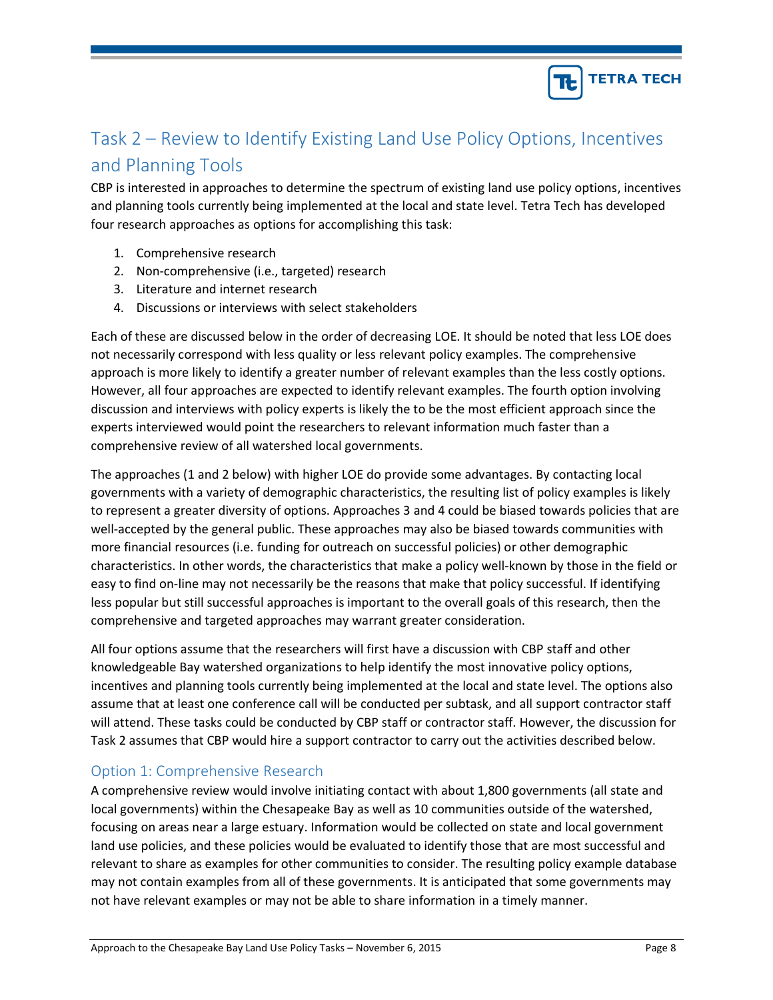

# Task 2 – Review to Identify Existing Land Use Policy Options, Incentives and Planning Tools

CBP is interested in approaches to determine the spectrum of existing land use policy options, incentives and planning tools currently being implemented at the local and state level. Tetra Tech has developed four research approaches as options for accomplishing this task:

- 1. Comprehensive research
- 2. Non-comprehensive (i.e., targeted) research
- 3. Literature and internet research
- 4. Discussions or interviews with select stakeholders

Each of these are discussed below in the order of decreasing LOE. It should be noted that less LOE does not necessarily correspond with less quality or less relevant policy examples. The comprehensive approach is more likely to identify a greater number of relevant examples than the less costly options. However, all four approaches are expected to identify relevant examples. The fourth option involving discussion and interviews with policy experts is likely the to be the most efficient approach since the experts interviewed would point the researchers to relevant information much faster than a comprehensive review of all watershed local governments.

The approaches (1 and 2 below) with higher LOE do provide some advantages. By contacting local governments with a variety of demographic characteristics, the resulting list of policy examples is likely to represent a greater diversity of options. Approaches 3 and 4 could be biased towards policies that are well-accepted by the general public. These approaches may also be biased towards communities with more financial resources (i.e. funding for outreach on successful policies) or other demographic characteristics. In other words, the characteristics that make a policy well-known by those in the field or easy to find on-line may not necessarily be the reasons that make that policy successful. If identifying less popular but still successful approaches is important to the overall goals of this research, then the comprehensive and targeted approaches may warrant greater consideration.

All four options assume that the researchers will first have a discussion with CBP staff and other knowledgeable Bay watershed organizations to help identify the most innovative policy options, incentives and planning tools currently being implemented at the local and state level. The options also assume that at least one conference call will be conducted per subtask, and all support contractor staff will attend. These tasks could be conducted by CBP staff or contractor staff. However, the discussion for Task 2 assumes that CBP would hire a support contractor to carry out the activities described below.

### Option 1: Comprehensive Research

A comprehensive review would involve initiating contact with about 1,800 governments (all state and local governments) within the Chesapeake Bay as well as 10 communities outside of the watershed, focusing on areas near a large estuary. Information would be collected on state and local government land use policies, and these policies would be evaluated to identify those that are most successful and relevant to share as examples for other communities to consider. The resulting policy example database may not contain examples from all of these governments. It is anticipated that some governments may not have relevant examples or may not be able to share information in a timely manner.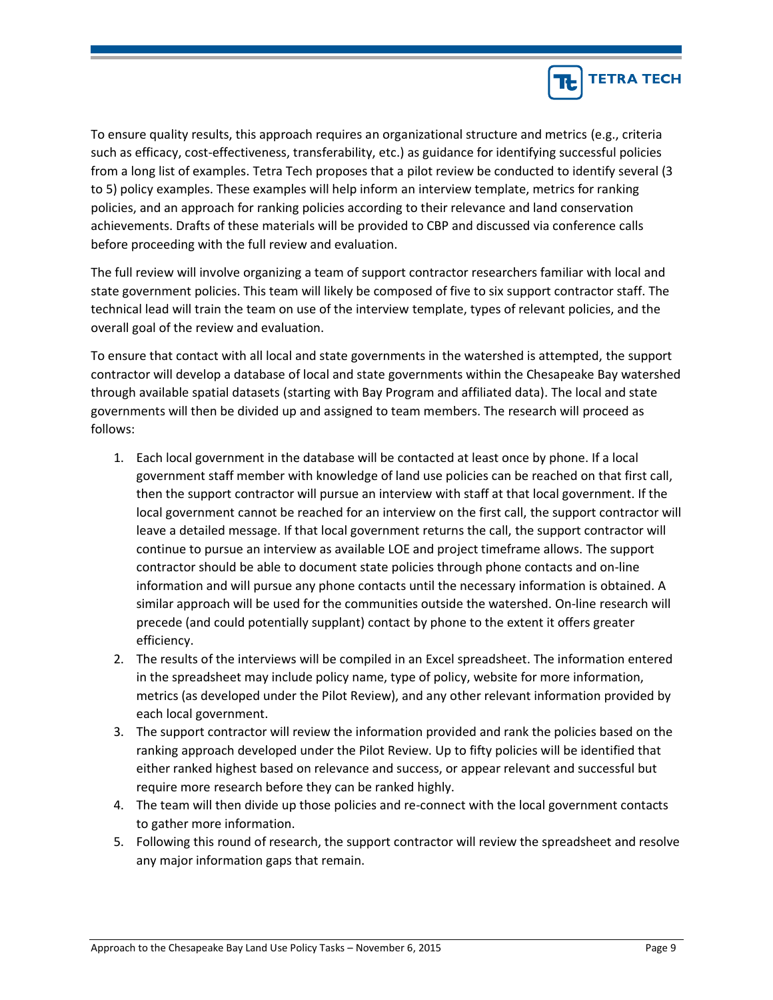

To ensure quality results, this approach requires an organizational structure and metrics (e.g., criteria such as efficacy, cost-effectiveness, transferability, etc.) as guidance for identifying successful policies from a long list of examples. Tetra Tech proposes that a pilot review be conducted to identify several (3 to 5) policy examples. These examples will help inform an interview template, metrics for ranking policies, and an approach for ranking policies according to their relevance and land conservation achievements. Drafts of these materials will be provided to CBP and discussed via conference calls before proceeding with the full review and evaluation.

The full review will involve organizing a team of support contractor researchers familiar with local and state government policies. This team will likely be composed of five to six support contractor staff. The technical lead will train the team on use of the interview template, types of relevant policies, and the overall goal of the review and evaluation.

To ensure that contact with all local and state governments in the watershed is attempted, the support contractor will develop a database of local and state governments within the Chesapeake Bay watershed through available spatial datasets (starting with Bay Program and affiliated data). The local and state governments will then be divided up and assigned to team members. The research will proceed as follows:

- 1. Each local government in the database will be contacted at least once by phone. If a local government staff member with knowledge of land use policies can be reached on that first call, then the support contractor will pursue an interview with staff at that local government. If the local government cannot be reached for an interview on the first call, the support contractor will leave a detailed message. If that local government returns the call, the support contractor will continue to pursue an interview as available LOE and project timeframe allows. The support contractor should be able to document state policies through phone contacts and on-line information and will pursue any phone contacts until the necessary information is obtained. A similar approach will be used for the communities outside the watershed. On-line research will precede (and could potentially supplant) contact by phone to the extent it offers greater efficiency.
- 2. The results of the interviews will be compiled in an Excel spreadsheet. The information entered in the spreadsheet may include policy name, type of policy, website for more information, metrics (as developed under the Pilot Review), and any other relevant information provided by each local government.
- 3. The support contractor will review the information provided and rank the policies based on the ranking approach developed under the Pilot Review. Up to fifty policies will be identified that either ranked highest based on relevance and success, or appear relevant and successful but require more research before they can be ranked highly.
- 4. The team will then divide up those policies and re-connect with the local government contacts to gather more information.
- 5. Following this round of research, the support contractor will review the spreadsheet and resolve any major information gaps that remain.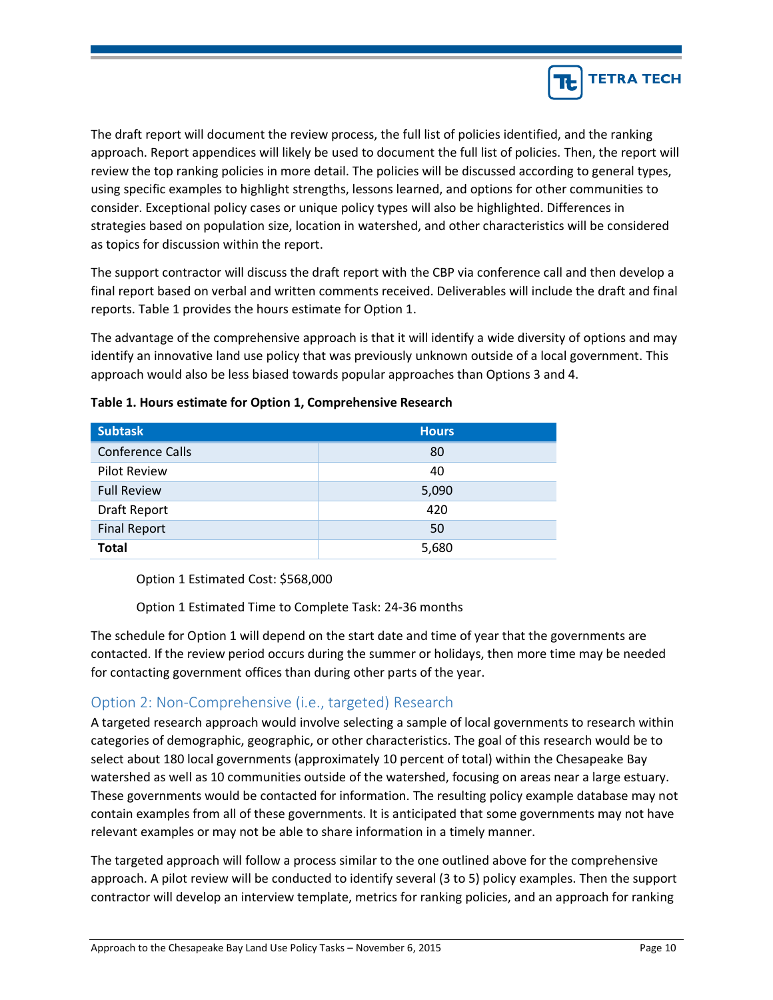

The draft report will document the review process, the full list of policies identified, and the ranking approach. Report appendices will likely be used to document the full list of policies. Then, the report will review the top ranking policies in more detail. The policies will be discussed according to general types, using specific examples to highlight strengths, lessons learned, and options for other communities to consider. Exceptional policy cases or unique policy types will also be highlighted. Differences in strategies based on population size, location in watershed, and other characteristics will be considered as topics for discussion within the report.

The support contractor will discuss the draft report with the CBP via conference call and then develop a final report based on verbal and written comments received. Deliverables will include the draft and final reports. Table 1 provides the hours estimate for Option 1.

The advantage of the comprehensive approach is that it will identify a wide diversity of options and may identify an innovative land use policy that was previously unknown outside of a local government. This approach would also be less biased towards popular approaches than Options 3 and 4.

| <b>Subtask</b>          | <b>Hours</b> |
|-------------------------|--------------|
| <b>Conference Calls</b> | 80           |
| <b>Pilot Review</b>     | 40           |
| <b>Full Review</b>      | 5,090        |
| Draft Report            | 420          |
| <b>Final Report</b>     | 50           |
| <b>Total</b>            | 5,680        |

#### **Table 1. Hours estimate for Option 1, Comprehensive Research**

Option 1 Estimated Cost: \$568,000

Option 1 Estimated Time to Complete Task: 24-36 months

The schedule for Option 1 will depend on the start date and time of year that the governments are contacted. If the review period occurs during the summer or holidays, then more time may be needed for contacting government offices than during other parts of the year.

## Option 2: Non-Comprehensive (i.e., targeted) Research

A targeted research approach would involve selecting a sample of local governments to research within categories of demographic, geographic, or other characteristics. The goal of this research would be to select about 180 local governments (approximately 10 percent of total) within the Chesapeake Bay watershed as well as 10 communities outside of the watershed, focusing on areas near a large estuary. These governments would be contacted for information. The resulting policy example database may not contain examples from all of these governments. It is anticipated that some governments may not have relevant examples or may not be able to share information in a timely manner.

The targeted approach will follow a process similar to the one outlined above for the comprehensive approach. A pilot review will be conducted to identify several (3 to 5) policy examples. Then the support contractor will develop an interview template, metrics for ranking policies, and an approach for ranking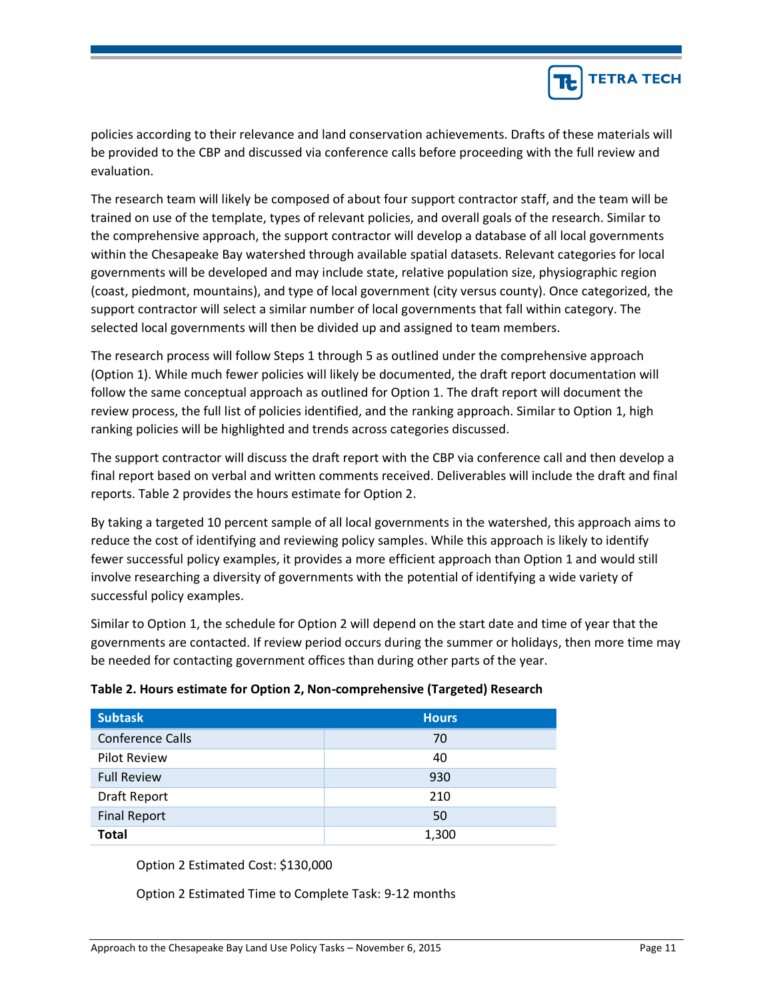

policies according to their relevance and land conservation achievements. Drafts of these materials will be provided to the CBP and discussed via conference calls before proceeding with the full review and evaluation.

The research team will likely be composed of about four support contractor staff, and the team will be trained on use of the template, types of relevant policies, and overall goals of the research. Similar to the comprehensive approach, the support contractor will develop a database of all local governments within the Chesapeake Bay watershed through available spatial datasets. Relevant categories for local governments will be developed and may include state, relative population size, physiographic region (coast, piedmont, mountains), and type of local government (city versus county). Once categorized, the support contractor will select a similar number of local governments that fall within category. The selected local governments will then be divided up and assigned to team members.

The research process will follow Steps 1 through 5 as outlined under the comprehensive approach (Option 1). While much fewer policies will likely be documented, the draft report documentation will follow the same conceptual approach as outlined for Option 1. The draft report will document the review process, the full list of policies identified, and the ranking approach. Similar to Option 1, high ranking policies will be highlighted and trends across categories discussed.

The support contractor will discuss the draft report with the CBP via conference call and then develop a final report based on verbal and written comments received. Deliverables will include the draft and final reports. Table 2 provides the hours estimate for Option 2.

By taking a targeted 10 percent sample of all local governments in the watershed, this approach aims to reduce the cost of identifying and reviewing policy samples. While this approach is likely to identify fewer successful policy examples, it provides a more efficient approach than Option 1 and would still involve researching a diversity of governments with the potential of identifying a wide variety of successful policy examples.

Similar to Option 1, the schedule for Option 2 will depend on the start date and time of year that the governments are contacted. If review period occurs during the summer or holidays, then more time may be needed for contacting government offices than during other parts of the year.

| <b>Subtask</b>          | <b>Hours</b> |
|-------------------------|--------------|
| <b>Conference Calls</b> | 70           |
| <b>Pilot Review</b>     | 40           |
| <b>Full Review</b>      | 930          |
| Draft Report            | 210          |
| <b>Final Report</b>     | 50           |
| <b>Total</b>            | 1,300        |

#### **Table 2. Hours estimate for Option 2, Non-comprehensive (Targeted) Research**

Option 2 Estimated Cost: \$130,000

Option 2 Estimated Time to Complete Task: 9-12 months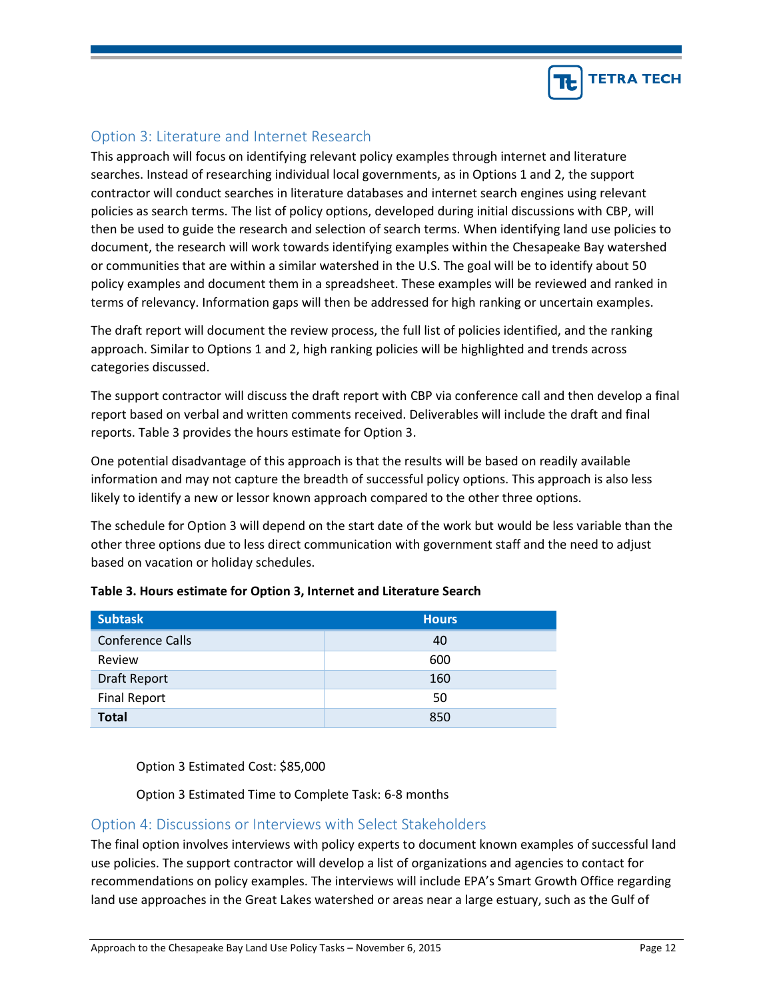

## Option 3: Literature and Internet Research

This approach will focus on identifying relevant policy examples through internet and literature searches. Instead of researching individual local governments, as in Options 1 and 2, the support contractor will conduct searches in literature databases and internet search engines using relevant policies as search terms. The list of policy options, developed during initial discussions with CBP, will then be used to guide the research and selection of search terms. When identifying land use policies to document, the research will work towards identifying examples within the Chesapeake Bay watershed or communities that are within a similar watershed in the U.S. The goal will be to identify about 50 policy examples and document them in a spreadsheet. These examples will be reviewed and ranked in terms of relevancy. Information gaps will then be addressed for high ranking or uncertain examples.

The draft report will document the review process, the full list of policies identified, and the ranking approach. Similar to Options 1 and 2, high ranking policies will be highlighted and trends across categories discussed.

The support contractor will discuss the draft report with CBP via conference call and then develop a final report based on verbal and written comments received. Deliverables will include the draft and final reports. Table 3 provides the hours estimate for Option 3.

One potential disadvantage of this approach is that the results will be based on readily available information and may not capture the breadth of successful policy options. This approach is also less likely to identify a new or lessor known approach compared to the other three options.

The schedule for Option 3 will depend on the start date of the work but would be less variable than the other three options due to less direct communication with government staff and the need to adjust based on vacation or holiday schedules.

| <b>Subtask</b>          | <b>Hours</b> |
|-------------------------|--------------|
| <b>Conference Calls</b> | 40           |
| Review                  | 600          |
| Draft Report            | 160          |
| <b>Final Report</b>     | 50           |
| <b>Total</b>            | 850          |

### **Table 3. Hours estimate for Option 3, Internet and Literature Search**

Option 3 Estimated Cost: \$85,000

Option 3 Estimated Time to Complete Task: 6-8 months

### Option 4: Discussions or Interviews with Select Stakeholders

The final option involves interviews with policy experts to document known examples of successful land use policies. The support contractor will develop a list of organizations and agencies to contact for recommendations on policy examples. The interviews will include EPA's Smart Growth Office regarding land use approaches in the Great Lakes watershed or areas near a large estuary, such as the Gulf of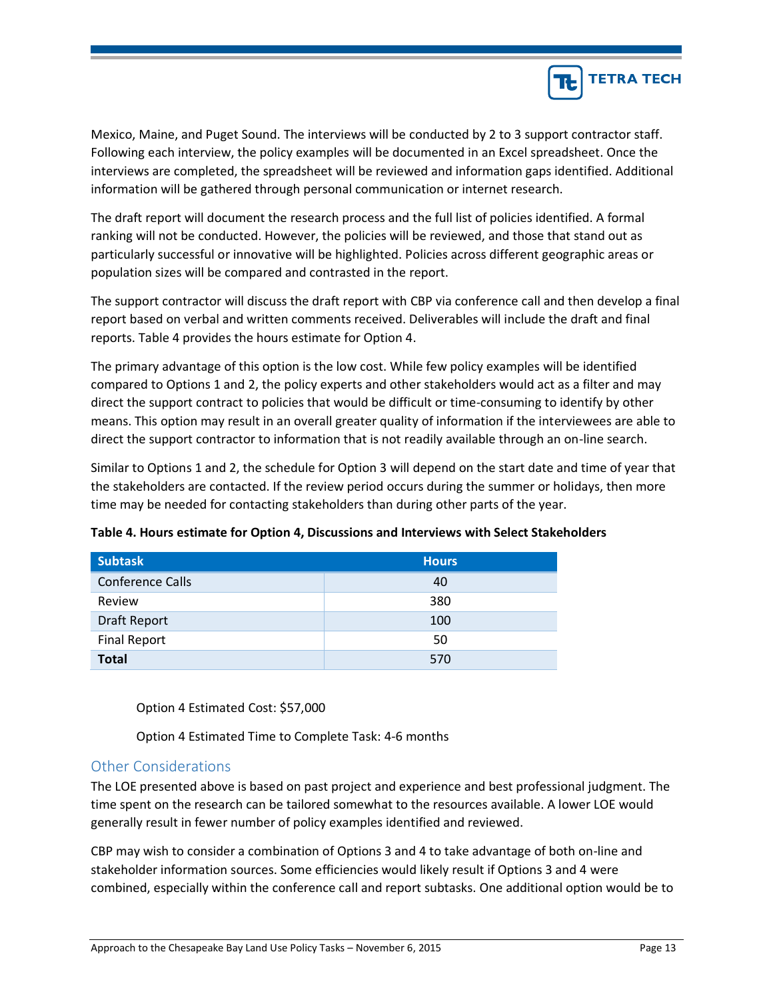

Mexico, Maine, and Puget Sound. The interviews will be conducted by 2 to 3 support contractor staff. Following each interview, the policy examples will be documented in an Excel spreadsheet. Once the interviews are completed, the spreadsheet will be reviewed and information gaps identified. Additional information will be gathered through personal communication or internet research.

The draft report will document the research process and the full list of policies identified. A formal ranking will not be conducted. However, the policies will be reviewed, and those that stand out as particularly successful or innovative will be highlighted. Policies across different geographic areas or population sizes will be compared and contrasted in the report.

The support contractor will discuss the draft report with CBP via conference call and then develop a final report based on verbal and written comments received. Deliverables will include the draft and final reports. Table 4 provides the hours estimate for Option 4.

The primary advantage of this option is the low cost. While few policy examples will be identified compared to Options 1 and 2, the policy experts and other stakeholders would act as a filter and may direct the support contract to policies that would be difficult or time-consuming to identify by other means. This option may result in an overall greater quality of information if the interviewees are able to direct the support contractor to information that is not readily available through an on-line search.

Similar to Options 1 and 2, the schedule for Option 3 will depend on the start date and time of year that the stakeholders are contacted. If the review period occurs during the summer or holidays, then more time may be needed for contacting stakeholders than during other parts of the year.

| <b>Subtask</b>          | <b>Hours</b> |
|-------------------------|--------------|
| <b>Conference Calls</b> | 40           |
| Review                  | 380          |
| Draft Report            | 100          |
| <b>Final Report</b>     | 50           |
| <b>Total</b>            | 570          |

**Table 4. Hours estimate for Option 4, Discussions and Interviews with Select Stakeholders**

Option 4 Estimated Cost: \$57,000

Option 4 Estimated Time to Complete Task: 4-6 months

### Other Considerations

The LOE presented above is based on past project and experience and best professional judgment. The time spent on the research can be tailored somewhat to the resources available. A lower LOE would generally result in fewer number of policy examples identified and reviewed.

CBP may wish to consider a combination of Options 3 and 4 to take advantage of both on-line and stakeholder information sources. Some efficiencies would likely result if Options 3 and 4 were combined, especially within the conference call and report subtasks. One additional option would be to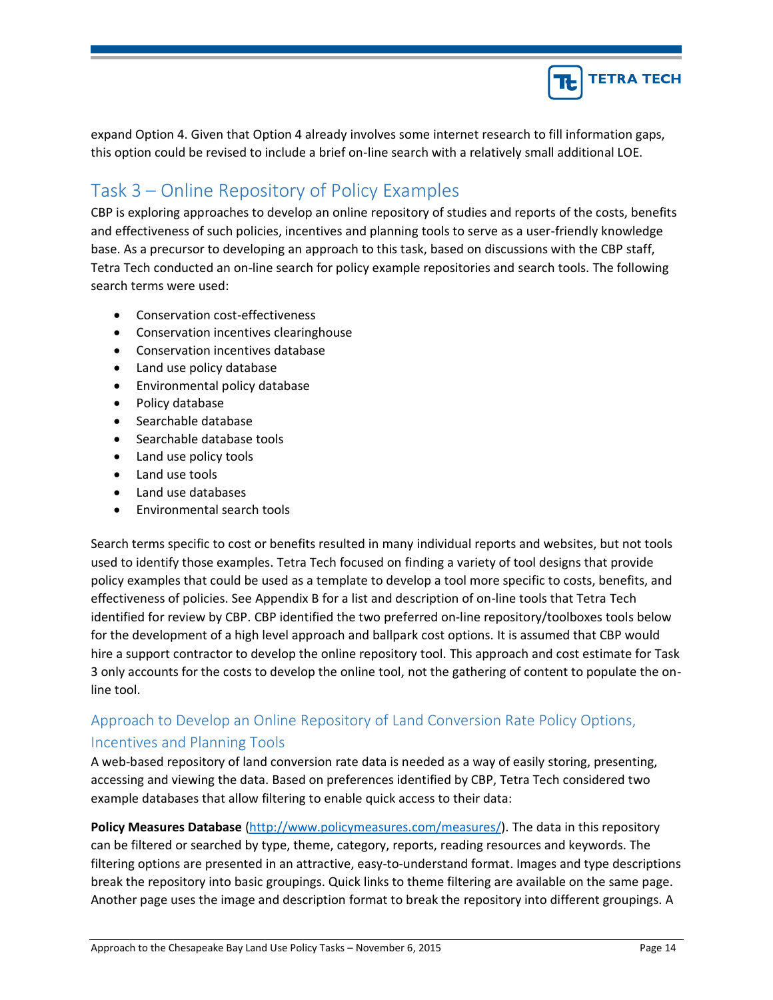

expand Option 4. Given that Option 4 already involves some internet research to fill information gaps, this option could be revised to include a brief on-line search with a relatively small additional LOE.

# Task 3 – Online Repository of Policy Examples

CBP is exploring approaches to develop an online repository of studies and reports of the costs, benefits and effectiveness of such policies, incentives and planning tools to serve as a user-friendly knowledge base. As a precursor to developing an approach to this task, based on discussions with the CBP staff, Tetra Tech conducted an on-line search for policy example repositories and search tools. The following search terms were used:

- Conservation cost-effectiveness
- Conservation incentives clearinghouse
- Conservation incentives database
- Land use policy database
- Environmental policy database
- Policy database
- Searchable database
- Searchable database tools
- Land use policy tools
- Land use tools
- Land use databases
- Environmental search tools

Search terms specific to cost or benefits resulted in many individual reports and websites, but not tools used to identify those examples. Tetra Tech focused on finding a variety of tool designs that provide policy examples that could be used as a template to develop a tool more specific to costs, benefits, and effectiveness of policies. See Appendix B for a list and description of on-line tools that Tetra Tech identified for review by CBP. CBP identified the two preferred on-line repository/toolboxes tools below for the development of a high level approach and ballpark cost options. It is assumed that CBP would hire a support contractor to develop the online repository tool. This approach and cost estimate for Task 3 only accounts for the costs to develop the online tool, not the gathering of content to populate the online tool.

# Approach to Develop an Online Repository of Land Conversion Rate Policy Options, Incentives and Planning Tools

A web-based repository of land conversion rate data is needed as a way of easily storing, presenting, accessing and viewing the data. Based on preferences identified by CBP, Tetra Tech considered two example databases that allow filtering to enable quick access to their data:

**Policy Measures Database** [\(http://www.policymeasures.com/measures/\)](http://www.policymeasures.com/measures/). The data in this repository can be filtered or searched by type, theme, category, reports, reading resources and keywords. The filtering options are presented in an attractive, easy-to-understand format. Images and type descriptions break the repository into basic groupings. Quick links to theme filtering are available on the same page. Another page uses the image and description format to break the repository into different groupings. A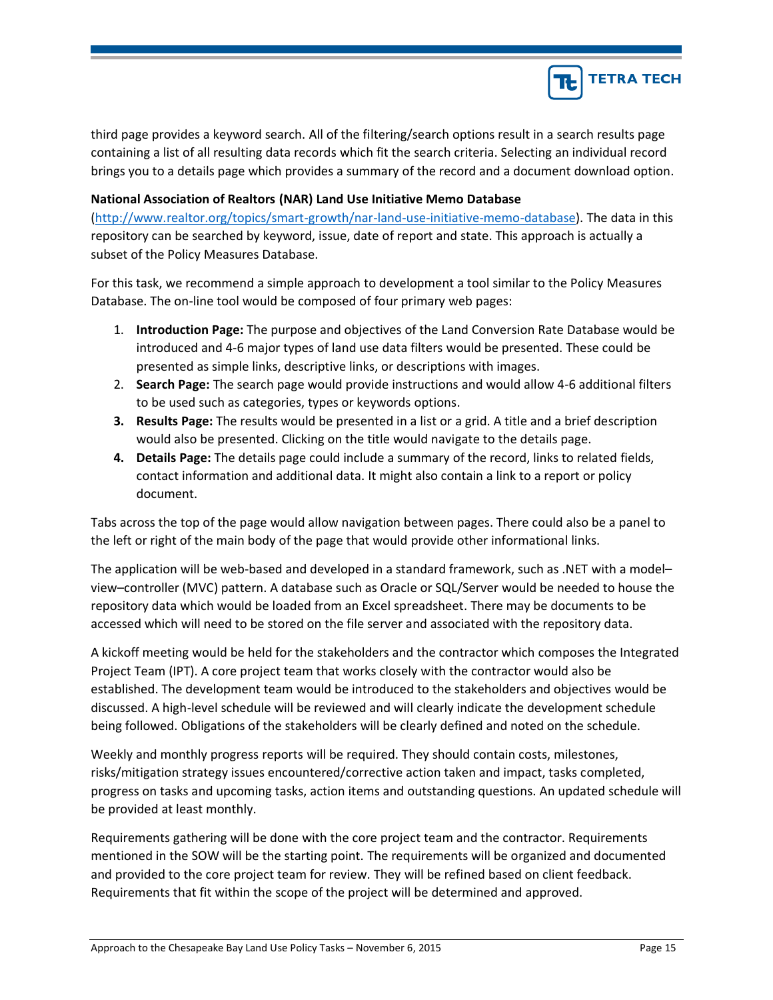

third page provides a keyword search. All of the filtering/search options result in a search results page containing a list of all resulting data records which fit the search criteria. Selecting an individual record brings you to a details page which provides a summary of the record and a document download option.

#### **National Association of Realtors (NAR) Land Use Initiative Memo Database**

[\(http://www.realtor.org/topics/smart-growth/nar-land-use-initiative-memo-database\)](http://www.realtor.org/topics/smart-growth/nar-land-use-initiative-memo-database). The data in this repository can be searched by keyword, issue, date of report and state. This approach is actually a subset of the Policy Measures Database.

For this task, we recommend a simple approach to development a tool similar to the Policy Measures Database. The on-line tool would be composed of four primary web pages:

- 1. **Introduction Page:** The purpose and objectives of the Land Conversion Rate Database would be introduced and 4-6 major types of land use data filters would be presented. These could be presented as simple links, descriptive links, or descriptions with images.
- 2. **Search Page:** The search page would provide instructions and would allow 4-6 additional filters to be used such as categories, types or keywords options.
- **3. Results Page:** The results would be presented in a list or a grid. A title and a brief description would also be presented. Clicking on the title would navigate to the details page.
- **4. Details Page:** The details page could include a summary of the record, links to related fields, contact information and additional data. It might also contain a link to a report or policy document.

Tabs across the top of the page would allow navigation between pages. There could also be a panel to the left or right of the main body of the page that would provide other informational links.

The application will be web-based and developed in a standard framework, such as .NET with a model– view–controller (MVC) pattern. A database such as Oracle or SQL/Server would be needed to house the repository data which would be loaded from an Excel spreadsheet. There may be documents to be accessed which will need to be stored on the file server and associated with the repository data.

A kickoff meeting would be held for the stakeholders and the contractor which composes the Integrated Project Team (IPT). A core project team that works closely with the contractor would also be established. The development team would be introduced to the stakeholders and objectives would be discussed. A high-level schedule will be reviewed and will clearly indicate the development schedule being followed. Obligations of the stakeholders will be clearly defined and noted on the schedule.

Weekly and monthly progress reports will be required. They should contain costs, milestones, risks/mitigation strategy issues encountered/corrective action taken and impact, tasks completed, progress on tasks and upcoming tasks, action items and outstanding questions. An updated schedule will be provided at least monthly.

Requirements gathering will be done with the core project team and the contractor. Requirements mentioned in the SOW will be the starting point. The requirements will be organized and documented and provided to the core project team for review. They will be refined based on client feedback. Requirements that fit within the scope of the project will be determined and approved.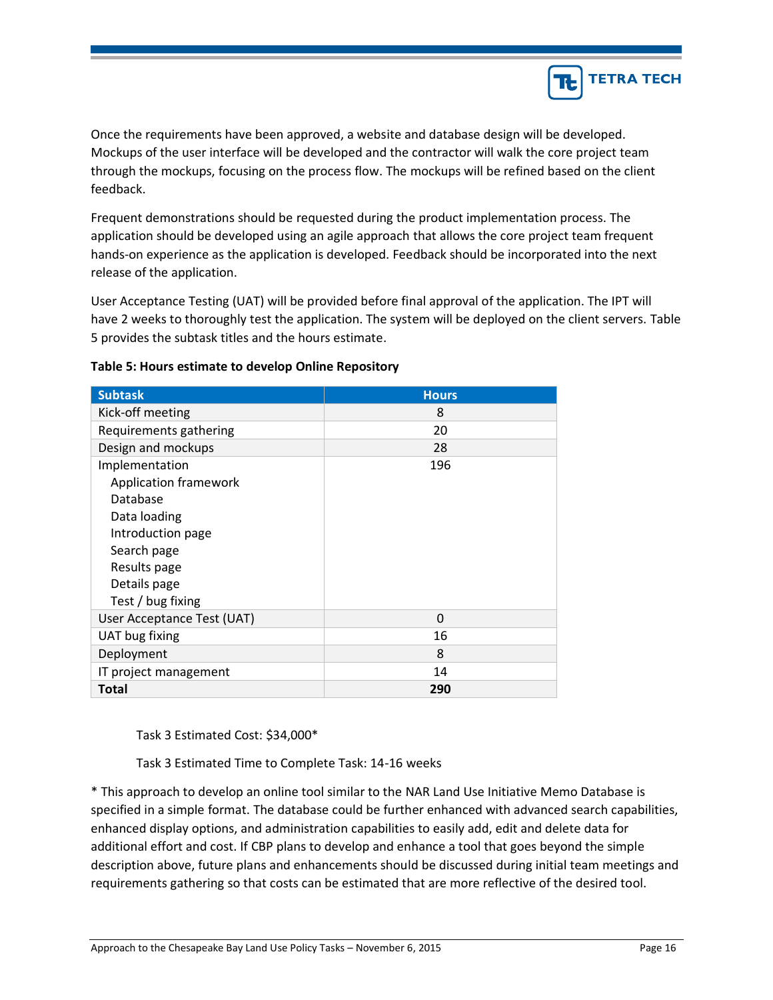

Once the requirements have been approved, a website and database design will be developed. Mockups of the user interface will be developed and the contractor will walk the core project team through the mockups, focusing on the process flow. The mockups will be refined based on the client feedback.

Frequent demonstrations should be requested during the product implementation process. The application should be developed using an agile approach that allows the core project team frequent hands-on experience as the application is developed. Feedback should be incorporated into the next release of the application.

User Acceptance Testing (UAT) will be provided before final approval of the application. The IPT will have 2 weeks to thoroughly test the application. The system will be deployed on the client servers. Table 5 provides the subtask titles and the hours estimate.

| <b>Subtask</b>             | <b>Hours</b> |
|----------------------------|--------------|
| Kick-off meeting           | 8            |
| Requirements gathering     | 20           |
| Design and mockups         | 28           |
| Implementation             | 196          |
| Application framework      |              |
| Database                   |              |
| Data loading               |              |
| Introduction page          |              |
| Search page                |              |
| Results page               |              |
| Details page               |              |
| Test / bug fixing          |              |
| User Acceptance Test (UAT) | 0            |
| UAT bug fixing             | 16           |
| Deployment                 | 8            |
| IT project management      | 14           |
| Total                      | 290          |

#### **Table 5: Hours estimate to develop Online Repository**

Task 3 Estimated Cost: \$34,000\*

Task 3 Estimated Time to Complete Task: 14-16 weeks

\* This approach to develop an online tool similar to the NAR Land Use Initiative Memo Database is specified in a simple format. The database could be further enhanced with advanced search capabilities, enhanced display options, and administration capabilities to easily add, edit and delete data for additional effort and cost. If CBP plans to develop and enhance a tool that goes beyond the simple description above, future plans and enhancements should be discussed during initial team meetings and requirements gathering so that costs can be estimated that are more reflective of the desired tool.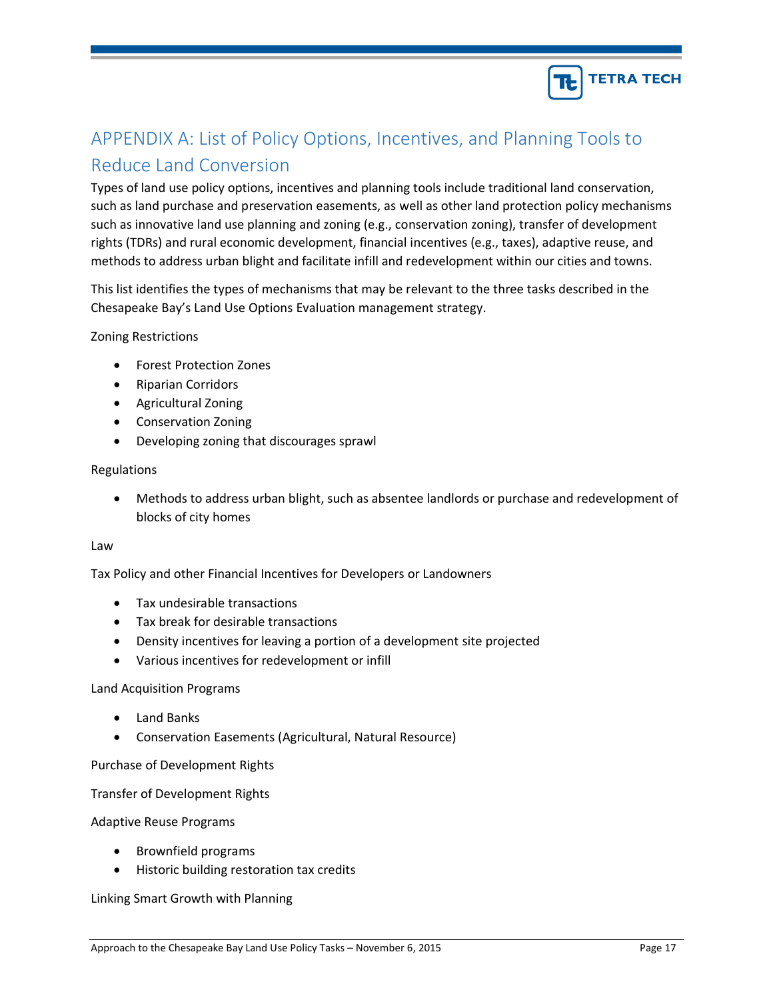

# APPENDIX A: List of Policy Options, Incentives, and Planning Tools to Reduce Land Conversion

Types of land use policy options, incentives and planning tools include traditional land conservation, such as land purchase and preservation easements, as well as other land protection policy mechanisms such as innovative land use planning and zoning (e.g., conservation zoning), transfer of development rights (TDRs) and rural economic development, financial incentives (e.g., taxes), adaptive reuse, and methods to address urban blight and facilitate infill and redevelopment within our cities and towns.

This list identifies the types of mechanisms that may be relevant to the three tasks described in the Chesapeake Bay's Land Use Options Evaluation management strategy.

Zoning Restrictions

- Forest Protection Zones
- Riparian Corridors
- Agricultural Zoning
- Conservation Zoning
- Developing zoning that discourages sprawl

#### Regulations

• Methods to address urban blight, such as absentee landlords or purchase and redevelopment of blocks of city homes

#### Law

Tax Policy and other Financial Incentives for Developers or Landowners

- Tax undesirable transactions
- Tax break for desirable transactions
- Density incentives for leaving a portion of a development site projected
- Various incentives for redevelopment or infill

#### Land Acquisition Programs

- Land Banks
- Conservation Easements (Agricultural, Natural Resource)

Purchase of Development Rights

Transfer of Development Rights

#### Adaptive Reuse Programs

- Brownfield programs
- Historic building restoration tax credits

#### Linking Smart Growth with Planning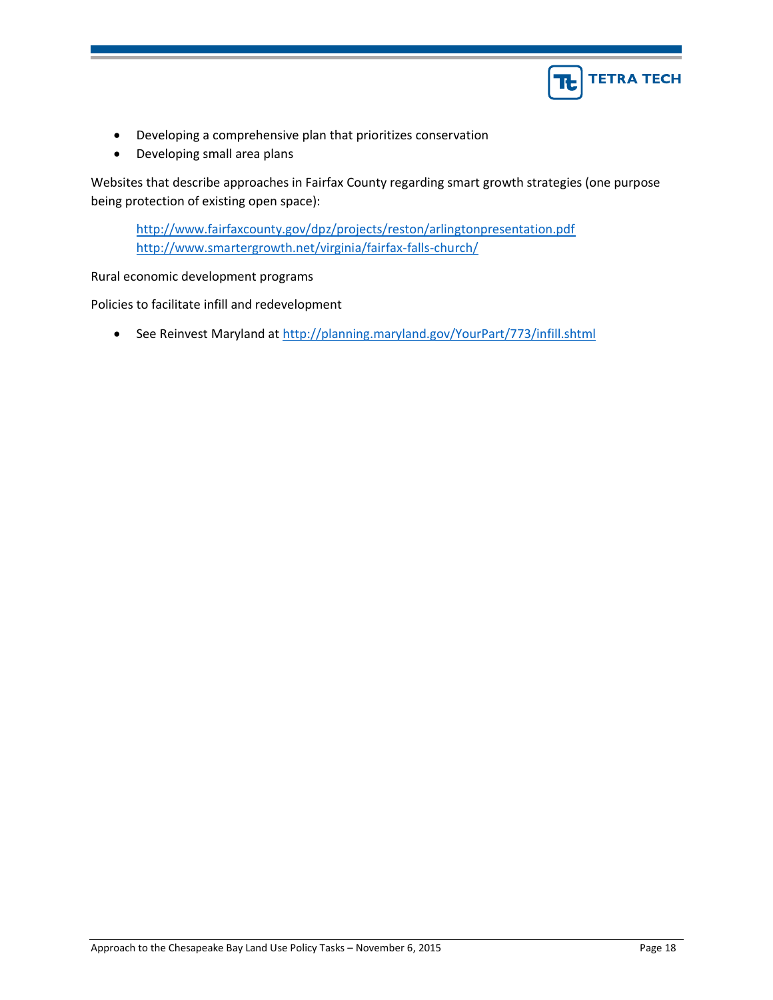

- Developing a comprehensive plan that prioritizes conservation
- Developing small area plans

Websites that describe approaches in Fairfax County regarding smart growth strategies (one purpose being protection of existing open space):

<http://www.fairfaxcounty.gov/dpz/projects/reston/arlingtonpresentation.pdf> <http://www.smartergrowth.net/virginia/fairfax-falls-church/>

Rural economic development programs

Policies to facilitate infill and redevelopment

• See Reinvest Maryland at<http://planning.maryland.gov/YourPart/773/infill.shtml>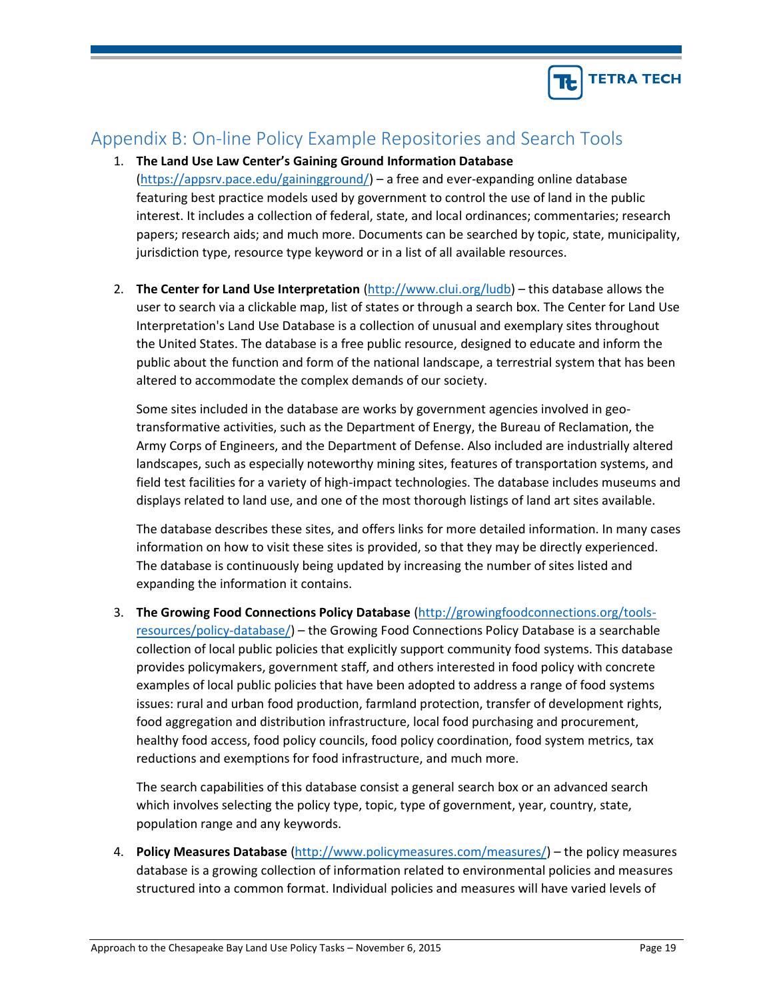

# Appendix B: On-line Policy Example Repositories and Search Tools

- 1. **The Land Use Law Center's Gaining Ground Information Database**  [\(https://appsrv.pace.edu/gainingground/\)](https://appsrv.pace.edu/gainingground/) – a free and ever-expanding online database featuring best practice models used by government to control the use of land in the public interest. It includes a collection of federal, state, and local ordinances; commentaries; research papers; research aids; and much more. Documents can be searched by topic, state, municipality, jurisdiction type, resource type keyword or in a list of all available resources.
- 2. **The Center for Land Use Interpretation** [\(http://www.clui.org/ludb\)](http://www.clui.org/ludb) this database allows the user to search via a clickable map, list of states or through a search box. The Center for Land Use Interpretation's Land Use Database is a collection of unusual and exemplary sites throughout the United States. The database is a free public resource, designed to educate and inform the public about the function and form of the national landscape, a terrestrial system that has been altered to accommodate the complex demands of our society.

Some sites included in the database are works by government agencies involved in geotransformative activities, such as the Department of Energy, the Bureau of Reclamation, the Army Corps of Engineers, and the Department of Defense. Also included are industrially altered landscapes, such as especially noteworthy mining sites, features of transportation systems, and field test facilities for a variety of high-impact technologies. The database includes museums and displays related to land use, and one of the most thorough listings of land art sites available.

The database describes these sites, and offers links for more detailed information. In many cases information on how to visit these sites is provided, so that they may be directly experienced. The database is continuously being updated by increasing the number of sites listed and expanding the information it contains.

3. **The Growing Food Connections Policy Database** [\(http://growingfoodconnections.org/tools](http://growingfoodconnections.org/tools-resources/policy-database/)[resources/policy-database/\)](http://growingfoodconnections.org/tools-resources/policy-database/) – the Growing Food Connections Policy Database is a searchable collection of local public policies that explicitly support community food systems. This database provides policymakers, government staff, and others interested in food policy with concrete examples of local public policies that have been adopted to address a range of food systems issues: rural and urban food production, farmland protection, transfer of development rights, food aggregation and distribution infrastructure, local food purchasing and procurement, healthy food access, food policy councils, food policy coordination, food system metrics, tax reductions and exemptions for food infrastructure, and much more.

The search capabilities of this database consist a general search box or an advanced search which involves selecting the policy type, topic, type of government, year, country, state, population range and any keywords.

4. **Policy Measures Database** [\(http://www.policymeasures.com/measures/\)](http://www.policymeasures.com/measures/) – the policy measures database is a growing collection of information related to environmental policies and measures structured into a common format. Individual policies and measures will have varied levels of